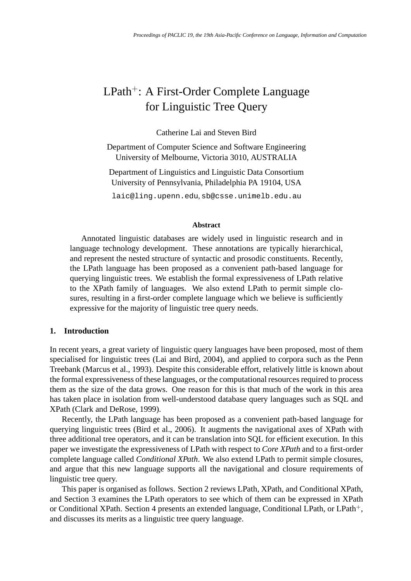# LPath<sup>+</sup>: A First-Order Complete Language for Linguistic Tree Query

Catherine Lai and Steven Bird

Department of Computer Science and Software Engineering University of Melbourne, Victoria 3010, AUSTRALIA

Department of Linguistics and Linguistic Data Consortium University of Pennsylvania, Philadelphia PA 19104, USA

laic@ling.upenn.edu, sb@csse.unimelb.edu.au

#### **Abstract**

Annotated linguistic databases are widely used in linguistic research and in language technology development. These annotations are typically hierarchical, and represent the nested structure of syntactic and prosodic constituents. Recently, the LPath language has been proposed as a convenient path-based language for querying linguistic trees. We establish the formal expressiveness of LPath relative to the XPath family of languages. We also extend LPath to permit simple closures, resulting in a first-order complete language which we believe is sufficiently expressive for the majority of linguistic tree query needs.

#### **1. Introduction**

In recent years, a great variety of linguistic query languages have been proposed, most of them specialised for linguistic trees (Lai and Bird, 2004), and applied to corpora such as the Penn Treebank (Marcus et al., 1993). Despite this considerable effort, relatively little is known about the formal expressiveness of these languages, or the computational resources required to process them as the size of the data grows. One reason for this is that much of the work in this area has taken place in isolation from well-understood database query languages such as SQL and XPath (Clark and DeRose, 1999).

Recently, the LPath language has been proposed as a convenient path-based language for querying linguistic trees (Bird et al., 2006). It augments the navigational axes of XPath with three additional tree operators, and it can be translation into SQL for efficient execution. In this paper we investigate the expressiveness of LPath with respect to *Core XPath* and to a first-order complete language called *Conditional XPath*. We also extend LPath to permit simple closures, and argue that this new language supports all the navigational and closure requirements of linguistic tree query.

This paper is organised as follows. Section 2 reviews LPath, XPath, and Conditional XPath, and Section 3 examines the LPath operators to see which of them can be expressed in XPath or Conditional XPath. Section 4 presents an extended language, Conditional LPath, or LPath<sup>+</sup>, and discusses its merits as a linguistic tree query language.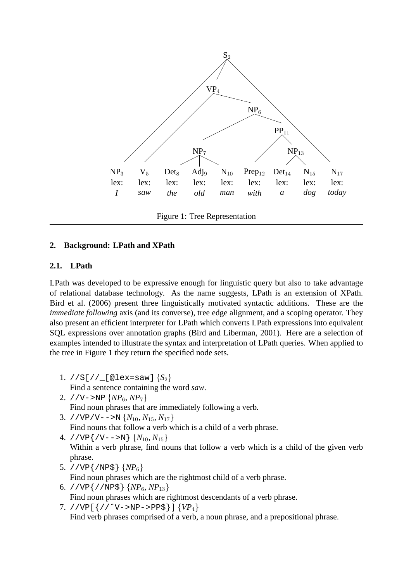

Figure 1: Tree Representation

# **2. Background: LPath and XPath**

# **2.1. LPath**

LPath was developed to be expressive enough for linguistic query but also to take advantage of relational database technology. As the name suggests, LPath is an extension of XPath. Bird et al. (2006) present three linguistically motivated syntactic additions. These are the *immediate following* axis (and its converse), tree edge alignment, and a scoping operator. They also present an efficient interpreter for LPath which converts LPath expressions into equivalent SQL expressions over annotation graphs (Bird and Liberman, 2001). Here are a selection of examples intended to illustrate the syntax and interpretation of LPath queries. When applied to the tree in Figure 1 they return the specified node sets.

- 1. //S[//\_[@lex=saw] {*S*2} Find a sentence containing the word *saw*.
- 2. //V->NP  $\{NP_6, NP_7\}$ Find noun phrases that are immediately following a verb.
- 3. //VP/V-->N  $\{N_{10}, N_{15}, N_{17}\}$

Find nouns that follow a verb which is a child of a verb phrase.

- 4. //VP $\{ /V-->N \}$   $\{N_{10}, N_{15}\}$ Within a verb phrase, find nouns that follow a verb which is a child of the given verb phrase.
- 5. //VP{/NP\$} {*NP*6}

Find noun phrases which are the rightmost child of a verb phrase.

6. //VP $\{$ //NP\$ $\}$   $\{NP_6, NP_{13}\}$ 

Find noun phrases which are rightmost descendants of a verb phrase.

7. //VP[{//ˆV->NP->PP\$}] {*VP*4} Find verb phrases comprised of a verb, a noun phrase, and a prepositional phrase.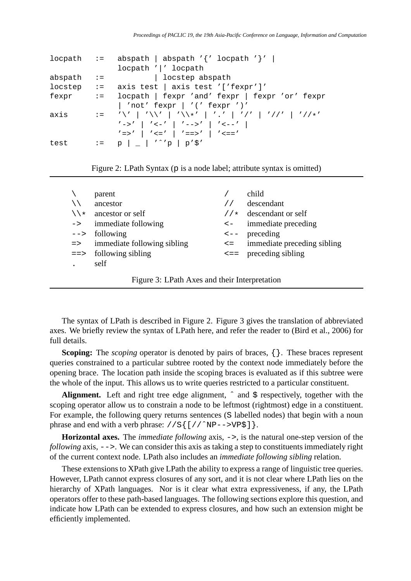|              |                           | locpath := abspath   abspath '{' locpath '}'                                                                                                                        |  |  |
|--------------|---------------------------|---------------------------------------------------------------------------------------------------------------------------------------------------------------------|--|--|
|              |                           | locpath ' ' locpath                                                                                                                                                 |  |  |
| abspath      | $\mathbf{I} = \mathbf{I}$ | locstep abspath                                                                                                                                                     |  |  |
| $locstep$ := |                           | axis test   axis test '['fexpr']'                                                                                                                                   |  |  |
| fexpr        |                           | := locpath   fexpr 'and' fexpr   fexpr 'or' fexpr                                                                                                                   |  |  |
|              |                           | 'not' fexpr   '(' fexpr ')'                                                                                                                                         |  |  |
| axis         |                           | := '\'   '\\'   '\\*'   '.'   '/'   '//'   '//*'                                                                                                                    |  |  |
|              |                           | $\left  \begin{array}{c}   &   &   &   &   &   &   &   &   &   \end{array} \right $ $\left  \begin{array}{c}   &   &   &   &   &   &   &   &   \end{array} \right $ |  |  |
|              |                           | $\prime$ => $\prime$   $\prime$ <= $\prime$   $\prime$ ==> $\prime$   $\prime$ <== $\prime$                                                                         |  |  |
| test         |                           | $:= p \mid \_   '^{\wedge} 'p \mid p' \$                                                                                                                            |  |  |
|              |                           |                                                                                                                                                                     |  |  |

Figure 2: LPath Syntax (p is a node label; attribute syntax is omitted)

|               | parent                      |                   | child                        |
|---------------|-----------------------------|-------------------|------------------------------|
|               | ancestor                    |                   | descendant                   |
| $\lambda$     | ancestor or self            | 1/x               | descendant or self           |
| $\rightarrow$ | immediate following         | $\lt$ $-$         | immediate preceding          |
| $-->$         | following                   |                   | $\leftarrow$ - preceding     |
| $\Rightarrow$ | immediate following sibling | $\leq$ $=$ $\sim$ | immediate preceding sibling  |
| $=$ $>$       | following sibling           |                   | $\leq$ = = preceding sibling |
|               | self                        |                   |                              |
|               |                             |                   |                              |

Figure 3: LPath Axes and their Interpretation

The syntax of LPath is described in Figure 2. Figure 3 gives the translation of abbreviated axes. We briefly review the syntax of LPath here, and refer the reader to (Bird et al., 2006) for full details.

**Scoping:** The *scoping* operator is denoted by pairs of braces,  $\{\}$ . These braces represent queries constrained to a particular subtree rooted by the context node immediately before the opening brace. The location path inside the scoping braces is evaluated as if this subtree were the whole of the input. This allows us to write queries restricted to a particular constituent.

Alignment. Left and right tree edge alignment,  $\hat{ }$  and  $\hat{ }$  respectively, together with the scoping operator allow us to constrain a node to be leftmost (rightmost) edge in a constituent. For example, the following query returns sentences (S labelled nodes) that begin with a noun phrase and end with a verb phrase:  $//S[$   $//^NP-->VP$$ ].

**Horizontal axes.** The *immediate following* axis, ->, is the natural one-step version of the *following* axis,  $\frac{-}{\ }$ . We can consider this axis as taking a step to constituents immediately right of the current context node. LPath also includes an *immediate following sibling* relation.

These extensions to XPath give LPath the ability to express a range of linguistic tree queries. However, LPath cannot express closures of any sort, and it is not clear where LPath lies on the hierarchy of XPath languages. Nor is it clear what extra expressiveness, if any, the LPath operators offer to these path-based languages. The following sections explore this question, and indicate how LPath can be extended to express closures, and how such an extension might be efficiently implemented.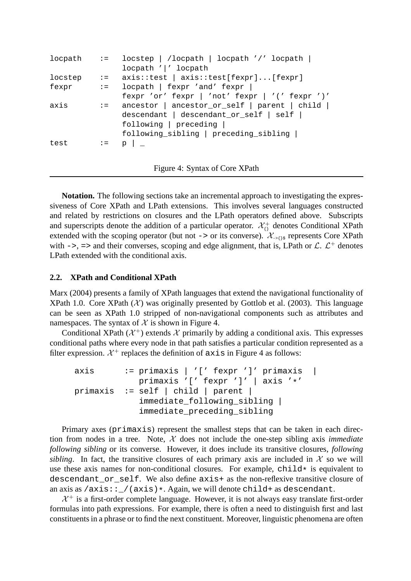```
locpath := locstep | /locpath | locpath '/' locpath |
               locpath '|' locpath
locstep := axis::test | axis::test[fexpr]...[fexpr]
fexpr := locpath | fexpr 'and' fexpr |
               fexpr 'or' fexpr | 'not' fexpr | '(' fexpr ')'
axis := ancestor | ancestor_or_self | parent | child |
               descendant | descendant_or_self | self |
               following | preceding |
               following_sibling | preceding_sibling |
test := p \mid \_
```
Figure 4: Syntax of Core XPath

**Notation.** The following sections take an incremental approach to investigating the expressiveness of Core XPath and LPath extensions. This involves several languages constructed and related by restrictions on closures and the LPath operators defined above. Subscripts and superscripts denote the addition of a particular operator.  $\mathcal{X}^+_{\Omega}$  denotes Conditional XPath extended with the scoping operator (but not -> or its converse).  $\mathcal{X}_{\text{--}}$  represents Core XPath with  $\rightarrow$ , => and their converses, scoping and edge alignment, that is, LPath or  $\mathcal{L}$ .  $\mathcal{L}^+$  denotes LPath extended with the conditional axis.

# **2.2. XPath and Conditional XPath**

Marx (2004) presents a family of XPath languages that extend the navigational functionality of XPath 1.0. Core XPath  $(X)$  was originally presented by Gottlob et al. (2003). This language can be seen as XPath 1.0 stripped of non-navigational components such as attributes and namespaces. The syntax of  $X$  is shown in Figure 4.

Conditional XPath ( $\mathcal{X}^+$ ) extends  $\mathcal X$  primarily by adding a conditional axis. This expresses conditional paths where every node in that path satisfies a particular condition represented as a filter expression.  $\mathcal{X}^+$  replaces the definition of  $axis$  in Figure 4 as follows:

```
axis := primaxis | '[' fexpr ']' primaxis |
            primaxis '[' fexpr ']' | axis '*'
primaxis := self | child | parent |
             immediate_following_sibling |
             immediate_preceding_sibling
```
Primary axes (primaxis) represent the smallest steps that can be taken in each direction from nodes in a tree. Note,  $X$  does not include the one-step sibling axis *immediate following sibling* or its converse. However, it does include its transitive closures, *following sibling*. In fact, the transitive closures of each primary axis are included in  $\mathcal{X}$  so we will use these axis names for non-conditional closures. For example,  $\text{child} \star$  is equivalent to descendant\_or\_self. We also define axis+ as the non-reflexive transitive closure of an axis as  $/axis:$   $/(axis)*$ . Again, we will denote child+ as descendant.

 $X^{+}$  is a first-order complete language. However, it is not always easy translate first-order formulas into path expressions. For example, there is often a need to distinguish first and last constituents in a phrase or to find the next constituent. Moreover, linguistic phenomena are often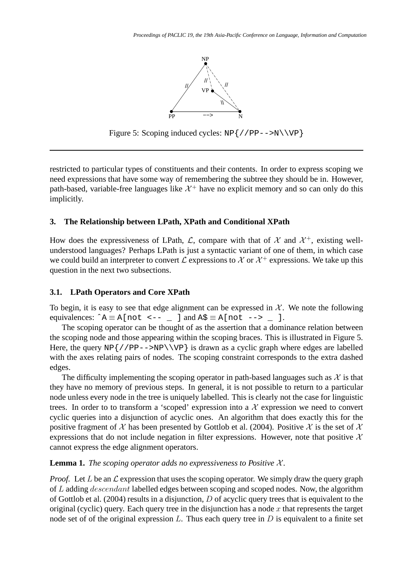

Figure 5: Scoping induced cycles:  $NP\$  //PP-->N\\VP }

restricted to particular types of constituents and their contents. In order to express scoping we need expressions that have some way of remembering the subtree they should be in. However, path-based, variable-free languages like  $\mathcal{X}^+$  have no explicit memory and so can only do this implicitly.

## **3. The Relationship between LPath, XPath and Conditional XPath**

How does the expressiveness of LPath,  $\mathcal{L}$ , compare with that of  $\mathcal{X}$  and  $\mathcal{X}^+$ , existing wellunderstood languages? Perhaps LPath is just a syntactic variant of one of them, in which case we could build an interpreter to convert  $\mathcal L$  expressions to  $\mathcal X$  or  $\mathcal X^+$  expressions. We take up this question in the next two subsections.

#### **3.1. LPath Operators and Core XPath**

To begin, it is easy to see that edge alignment can be expressed in  $X$ . We note the following equivalences:  $\hat{A} \equiv A \left[ \text{not } \leftarrow - \right]$  and  $A \hat{S} \equiv A \left[ \text{not } \leftarrow \right]$ .

The scoping operator can be thought of as the assertion that a dominance relation between the scoping node and those appearing within the scoping braces. This is illustrated in Figure 5. Here, the query  $NP\{ // PP--NP\\\VP\}$  is drawn as a cyclic graph where edges are labelled with the axes relating pairs of nodes. The scoping constraint corresponds to the extra dashed edges.

The difficulty implementing the scoping operator in path-based languages such as  $\mathcal X$  is that they have no memory of previous steps. In general, it is not possible to return to a particular node unless every node in the tree is uniquely labelled. This is clearly not the case for linguistic trees. In order to to transform a 'scoped' expression into a  $X$  expression we need to convert cyclic queries into a disjunction of acyclic ones. An algorithm that does exactly this for the positive fragment of X has been presented by Gottlob et al. (2004). Positive X is the set of X expressions that do not include negation in filter expressions. However, note that positive  $\mathcal{X}$ cannot express the edge alignment operators.

**Lemma 1.** *The scoping operator adds no expressiveness to Positive*  $\mathcal{X}$ *.* 

*Proof.* Let L be an  $\mathcal L$  expression that uses the scoping operator. We simply draw the query graph of L adding descendant labelled edges between scoping and scoped nodes. Now, the algorithm of Gottlob et al. (2004) results in a disjunction, D of acyclic query trees that is equivalent to the original (cyclic) query. Each query tree in the disjunction has a node  $x$  that represents the target node set of of the original expression  $L$ . Thus each query tree in  $D$  is equivalent to a finite set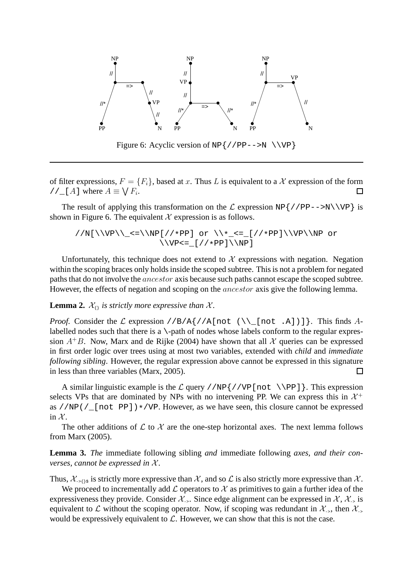

of filter expressions,  $F = \{F_i\}$ , based at x. Thus L is equivalent to a X expression of the form //\_[A] where  $A \equiv \bigvee F_i$ .  $\Box$ 

The result of applying this transformation on the  $\mathcal L$  expression NP{//PP-->N\\VP} is shown in Figure 6. The equivalent  $\mathcal X$  expression is as follows.

$$
\\N[\{\\Pe\}_{<=\{\NP[\//*PP] or \\\*-<=[\//*PP]\\\VP\\NP or \\\VP=\_[\//*PP]\\\NP]}
$$

Unfortunately, this technique does not extend to  $X$  expressions with negation. Negation within the scoping braces only holds inside the scoped subtree. This is not a problem for negated paths that do not involve the ancestor axis because such paths cannot escape the scoped subtree. However, the effects of negation and scoping on the *ancestor* axis give the following lemma.

**Lemma 2.**  $\mathcal{X}_{\{i\}}$  *is strictly more expressive than*  $\mathcal{X}$ *.* 

*Proof.* Consider the  $\mathcal L$  expression //B/A{//A[not (\\ [not .A])]}. This finds Alabelled nodes such that there is a  $\rightarrow$ -path of nodes whose labels conform to the regular expression  $A^{+}B$ . Now, Marx and de Rijke (2004) have shown that all X queries can be expressed in first order logic over trees using at most two variables, extended with *child* and *immediate following sibling*. However, the regular expression above cannot be expressed in this signature in less than three variables (Marx, 2005).  $\Box$ 

A similar linguistic example is the  $\mathcal L$  query //NP {//VP [not \\PP] }. This expression selects VPs that are dominated by NPs with no intervening PP. We can express this in  $\mathcal{X}^+$ as //NP(/ $\lfloor$ [not PP])\*/VP. However, as we have seen, this closure cannot be expressed in  $\mathcal{X}$ .

The other additions of  $\mathcal L$  to  $\mathcal X$  are the one-step horizontal axes. The next lemma follows from Marx (2005).

**Lemma 3.** *The* immediate following sibling *and* immediate following *axes, and their converses, cannot be expressed in X.* 

Thus,  $\mathcal{X}_{\text{SUS}}$  is strictly more expressive than  $\mathcal{X}$ , and so  $\mathcal{L}$  is also strictly more expressive than  $\mathcal{X}$ .

We proceed to incrementally add  $\mathcal L$  operators to  $\mathcal X$  as primitives to gain a further idea of the expressiveness they provide. Consider  $\mathcal{X}_{-}$ . Since edge alignment can be expressed in  $\mathcal{X}, \mathcal{X}_{-}$  is equivalent to L without the scoping operator. Now, if scoping was redundant in  $\mathcal{X}_{-}$ , then  $\mathcal{X}_{-}$ would be expressively equivalent to  $\mathcal{L}$ . However, we can show that this is not the case.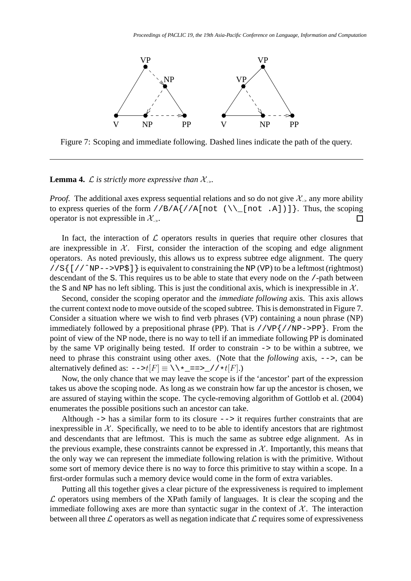

Figure 7: Scoping and immediate following. Dashed lines indicate the path of the query.

**Lemma 4.**  $\mathcal{L}$  *is strictly more expressive than*  $\mathcal{X}_{\text{a}}$ .

*Proof.* The additional axes express sequential relations and so do not give  $\mathcal{X}_{-}$  any more ability to express queries of the form  $//B/A}/A[not (\\[not .A])]\}.$  Thus, the scoping operator is not expressible in  $\mathcal{X}_{\sim}$ . П

In fact, the interaction of  $\mathcal L$  operators results in queries that require other closures that are inexpressible in  $X$ . First, consider the interaction of the scoping and edge alignment operators. As noted previously, this allows us to express subtree edge alignment. The query  $//S{ [ // NP-->VP$]} is equivalent to constraining the NP (VP) to be a leftmost (rightmost)$ descendant of the S. This requires us to be able to state that every node on the /-path between the S and NP has no left sibling. This is just the conditional axis, which is inexpressible in  $\mathcal{X}$ .

Second, consider the scoping operator and the *immediate following* axis. This axis allows the current context node to move outside of the scoped subtree. This is demonstrated in Figure 7. Consider a situation where we wish to find verb phrases (VP) containing a noun phrase (NP) immediately followed by a prepositional phrase (PP). That is  $//VP { // NP->PP}.$  From the point of view of the NP node, there is no way to tell if an immediate following PP is dominated by the same VP originally being tested. If order to constrain -> to be within a subtree, we need to phrase this constraint using other axes. (Note that the *following* axis, -->, can be alternatively defined as: -->t[F] ≡ \\\*\_==>\_//\*t[F].)

Now, the only chance that we may leave the scope is if the 'ancestor' part of the expression takes us above the scoping node. As long as we constrain how far up the ancestor is chosen, we are assured of staying within the scope. The cycle-removing algorithm of Gottlob et al. (2004) enumerates the possible positions such an ancestor can take.

Although  $\rightarrow$  has a similar form to its closure  $\rightarrow$  it requires further constraints that are inexpressible in  $X$ . Specifically, we need to to be able to identify ancestors that are rightmost and descendants that are leftmost. This is much the same as subtree edge alignment. As in the previous example, these constraints cannot be expressed in  $X$ . Importantly, this means that the only way we can represent the immediate following relation is with the primitive. Without some sort of memory device there is no way to force this primitive to stay within a scope. In a first-order formulas such a memory device would come in the form of extra variables.

Putting all this together gives a clear picture of the expressiveness is required to implement  $\mathcal L$  operators using members of the XPath family of languages. It is clear the scoping and the immediate following axes are more than syntactic sugar in the context of  $\mathcal{X}$ . The interaction between all three  $\mathcal L$  operators as well as negation indicate that  $\mathcal L$  requires some of expressiveness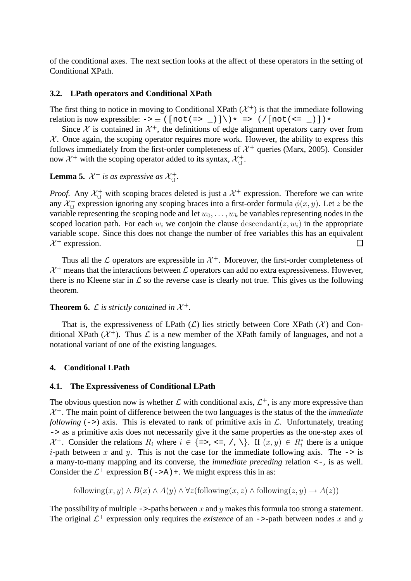of the conditional axes. The next section looks at the affect of these operators in the setting of Conditional XPath.

## **3.2. LPath operators and Conditional XPath**

The first thing to notice in moving to Conditional XPath  $(\mathcal{X}^+)$  is that the immediate following relation is now expressible: -> ≡ ([not(=> \_)]\)\* => (/[not(<= \_)])\*

Since  $\mathcal X$  is contained in  $\mathcal X^+$ , the definitions of edge alignment operators carry over from  $X$ . Once again, the scoping operator requires more work. However, the ability to express this follows immediately from the first-order completeness of  $\mathcal{X}^+$  queries (Marx, 2005). Consider now  $\mathcal{X}^+$  with the scoping operator added to its syntax,  $\mathcal{X}^+_{\Omega}$ .

**Lemma 5.**  $\mathcal{X}^+$  is as expressive as  $\mathcal{X}^+_{\{1\}}$ .

*Proof.* Any  $\mathcal{X}^+_{\{1\}}$  with scoping braces deleted is just a  $\mathcal{X}^+$  expression. Therefore we can write any  $\mathcal{X}^+_{\{i\}}$  expression ignoring any scoping braces into a first-order formula  $\phi(x, y)$ . Let z be the variable representing the scoping node and let  $w_0, \ldots, w_k$  be variables representing nodes in the scoped location path. For each  $w_i$  we conjoin the clause descendant $(z, w_i)$  in the appropriate variable scope. Since this does not change the number of free variables this has an equivalent  $X^+$  expression. □

Thus all the  $\mathcal L$  operators are expressible in  $\mathcal X^+$ . Moreover, the first-order completeness of  $X^+$  means that the interactions between  $\mathcal L$  operators can add no extra expressiveness. However, there is no Kleene star in  $\mathcal L$  so the reverse case is clearly not true. This gives us the following theorem.

**Theorem 6.**  $\mathcal{L}$  is strictly contained in  $\mathcal{X}^+$ .

That is, the expressiveness of LPath  $(L)$  lies strictly between Core XPath  $(\mathcal{X})$  and Conditional XPath  $(\mathcal{X}^+)$ . Thus  $\mathcal L$  is a new member of the XPath family of languages, and not a notational variant of one of the existing languages.

# **4. Conditional LPath**

#### **4.1. The Expressiveness of Conditional LPath**

The obvious question now is whether  $\mathcal L$  with conditional axis,  $\mathcal L^+$ , is any more expressive than  $X^+$ . The main point of difference between the two languages is the status of the the *immediate following* ( $\rightarrow$ ) axis. This is elevated to rank of primitive axis in  $\mathcal{L}$ . Unfortunately, treating -> as a primitive axis does not necessarily give it the same properties as the one-step axes of  $\mathcal{X}^+$ . Consider the relations  $R_i$  where  $i \in \{=\, <=, \land, \setminus\}$ . If  $(x, y) \in R_i^*$  there is a unique *i*-path between x and y. This is not the case for the immediate following axis. The  $\rightarrow$  is a many-to-many mapping and its converse, the *immediate preceding* relation <-, is as well. Consider the  $\mathcal{L}^+$  expression B( $\text{-}>\lambda$ ) +. We might express this in as:

following $(x, y) \wedge B(x) \wedge A(y) \wedge \forall z$  (following $(x, z) \wedge$  following $(z, y) \rightarrow A(z)$ )

The possibility of multiple  $\rightarrow$ -paths between x and y makes this formula too strong a statement. The original  $\mathcal{L}^+$  expression only requires the *existence* of an  $\rightarrow$ -path between nodes x and y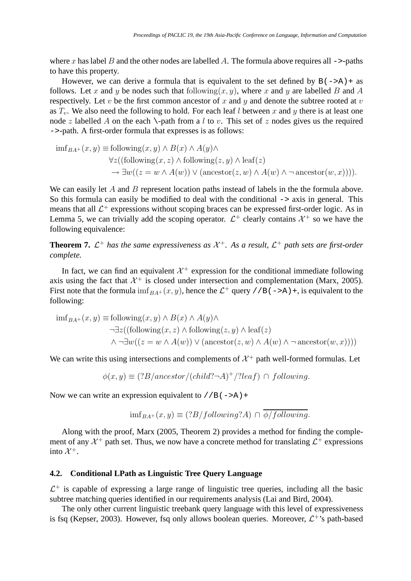where x has label B and the other nodes are labelled A. The formula above requires all  $\rightarrow$ -paths to have this property.

However, we can derive a formula that is equivalent to the set defined by  $B(-\geq A)$  + as follows. Let x and y be nodes such that following $(x, y)$ , where x and y are labelled B and A respectively. Let  $v$  be the first common ancestor of  $x$  and  $y$  and denote the subtree rooted at  $v$ as  $T_v$ . We also need the following to hold. For each leaf l between x and y there is at least one node z labelled A on the each \-path from a l to v. This set of z nodes gives us the required ->-path. A first-order formula that expresses is as follows:

$$
\text{imf}_{BA^+}(x, y) \equiv \text{following}(x, y) \land B(x) \land A(y) \land
$$
  
\n
$$
\forall z((\text{following}(x, z) \land \text{following}(z, y) \land \text{leaf}(z)) \land \text{leaf}(z) \rightarrow \exists w((z = w \land A(w)) \lor (\text{ancestor}(z, w) \land A(w) \land \neg \text{ancestor}(w, x)))).
$$

We can easily let  $A$  and  $B$  represent location paths instead of labels in the the formula above. So this formula can easily be modified to deal with the conditional  $\rightarrow$  axis in general. This means that all  $\mathcal{L}^+$  expressions without scoping braces can be expressed first-order logic. As in Lemma 5, we can trivially add the scoping operator.  $\mathcal{L}^+$  clearly contains  $\mathcal{X}^+$  so we have the following equivalence:

**Theorem 7.**  $\mathcal{L}^+$  has the same expressiveness as  $\mathcal{X}^+$ . As a result,  $\mathcal{L}^+$  path sets are first-order *complete.*

In fact, we can find an equivalent  $\mathcal{X}^+$  expression for the conditional immediate following axis using the fact that  $\mathcal{X}^+$  is closed under intersection and complementation (Marx, 2005). First note that the formula  $\inf_{BA^+}(x, y)$ , hence the  $\mathcal{L}^+$  query //B(->A)+, is equivalent to the following:

$$
\text{imf}_{BA^+}(x, y) \equiv \text{following}(x, y) \land B(x) \land A(y) \land \text{[a)} \land \text{[a]} \land \text{[b]} \land \text{[b]} \land \text{[c]} \land \text{[c]} \land \text{[c]} \land (z, z) \land \text{[b]} \land \text{[c]} \land \text{[c]} \land \text{[d]} \land \text{[d]} \land \text{[e]} \land \text{[f]} \land \text{[f]} \land \text{[f]} \land \text{[f]} \land \text{[f]} \land \text{[f]} \land \text{[f]} \land \text{[f]} \land \text{[f]} \land \text{[f]} \land \text{[f]} \land \text{[f]} \land \text{[f]} \land \text{[f]} \land \text{[f]} \land \text{[f]} \land \text{[f]} \land \text{[f]} \land \text{[f]} \land \text{[f]} \land \text{[f]} \land \text{[f]} \land \text{[f]} \land \text{[f]} \land \text{[f]} \land \text{[f]} \land \text{[f]} \land \text{[f]} \land \text{[f]} \land \text{[f]} \land \text{[f]} \land \text{[f]} \land \text{[f]} \land \text{[f]} \land \text{[f]} \land \text{[f]} \land \text{[f]} \land \text{[f]} \land \text{[f]} \land \text{[f]} \land \text{[f]} \land \text{[f]} \land \text{[f]} \land \text{[f]} \land \text{[f]} \land \text{[f]} \land \text{[f]} \land \text{[f]} \land \text{[f]} \land \text{[f]} \land \text{[f]} \land \text{[f]} \land \text{[f]} \land \text{[f]} \land \text{[f]} \land \text{[f]} \land \text{[f]} \land \text{[f]} \land \text{[f]} \land \text{[f]} \land \text{[f]} \land \text{[f]} \land \text{[f]} \land \text{[f]} \land \text{[f]} \land \text{[f]} \land \text{[f]} \land \text{[f]} \land \text{[f]} \land \text{[f]} \land \text{[f]} \land \text{[f]} \land \text{[f]} \land \text{[f]} \land \text{[f]} \land \text{[f]} \land \text{[
$$

We can write this using intersections and complements of  $\mathcal{X}^+$  path well-formed formulas. Let

$$
\phi(x,y) \equiv (?B/ancestor/(child? \neg A)^+/?leaf) \cap following.
$$

Now we can write an expression equivalent to  $//B(->A)+$ 

$$
\text{imf}_{BA^+}(x, y) \equiv (?B/following?A) \cap \phi/following.
$$

Along with the proof, Marx (2005, Theorem 2) provides a method for finding the complement of any  $\mathcal{X}^+$  path set. Thus, we now have a concrete method for translating  $\mathcal{L}^+$  expressions into  $\mathcal{X}^+$ .

# **4.2. Conditional LPath as Linguistic Tree Query Language**

 $\mathcal{L}^+$  is capable of expressing a large range of linguistic tree queries, including all the basic subtree matching queries identified in our requirements analysis (Lai and Bird, 2004).

The only other current linguistic treebank query language with this level of expressiveness is fsq (Kepser, 2003). However, fsq only allows boolean queries. Moreover,  $\mathcal{L}^{+}$ 's path-based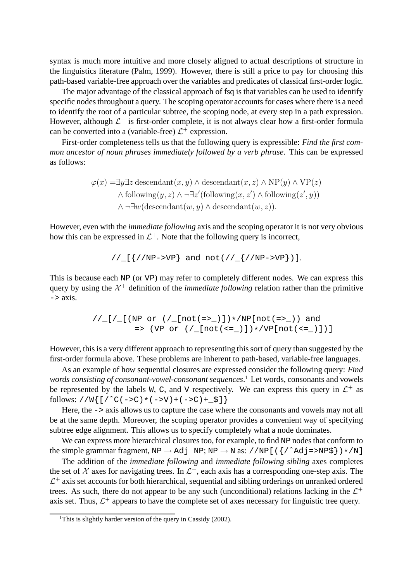syntax is much more intuitive and more closely aligned to actual descriptions of structure in the linguistics literature (Palm, 1999). However, there is still a price to pay for choosing this path-based variable-free approach over the variables and predicates of classical first-order logic.

The major advantage of the classical approach of fsq is that variables can be used to identify specific nodes throughout a query. The scoping operator accounts for cases where there is a need to identify the root of a particular subtree, the scoping node, at every step in a path expression. However, although  $\mathcal{L}^+$  is first-order complete, it is not always clear how a first-order formula can be converted into a (variable-free)  $\mathcal{L}^+$  expression.

First-order completeness tells us that the following query is expressible: *Find the first common ancestor of noun phrases immediately followed by a verb phrase*. This can be expressed as follows:

$$
\varphi(x) = \exists y \exists z \text{ descendant}(x, y) \land \text{descendant}(x, z) \land \text{NP}(y) \land \text{VP}(z)
$$
  
 
$$
\land \text{following}(y, z) \land \neg \exists z' \text{(following}(x, z') \land \text{following}(z', y))
$$
  
 
$$
\land \neg \exists w (\text{descendant}(w, y) \land \text{descendant}(w, z)).
$$

However, even with the *immediate following* axis and the scoping operator it is not very obvious how this can be expressed in  $\mathcal{L}^+$ . Note that the following query is incorrect,

$$
//_{\_}[\{ //NP->VP\} and not///_{}//NP->VP\})].
$$

This is because each NP (or VP) may refer to completely different nodes. We can express this query by using the  $\mathcal{X}^+$  definition of the *immediate following* relation rather than the primitive  $\Rightarrow$  axis.

$$
\frac{1}{\lfloor 1/\lfloor 1/(NP \text{ or } \frac{1}{\lfloor 100t \cdot (-5\rfloor)}) \cdot NP[\text{not}(-5\rfloor))} \text{ and } \\ = \frac{1}{\lfloor NP \text{ or } \frac{1}{\lfloor 100t \cdot (-5\rfloor)} \cdot NP[\text{not}(-5\rfloor)} \cdot \frac{1}{\lfloor NP \text{ not}(-5\rfloor)} \cdot \frac{1}{\lfloor 100t \cdot (-5\rfloor)} \cdot \frac{1}{\lfloor NP \text{ not}(-5\rfloor)} \cdot \frac{1}{\lfloor NP \text{ not}(-5\rfloor)} \cdot \frac{1}{\lfloor NP \text{ not}(-5\rfloor)} \cdot \frac{1}{\lfloor NP \text{ not}(-5\rfloor)} \cdot \frac{1}{\lfloor NP \text{ not}(-5\rfloor)} \cdot \frac{1}{\lfloor NP \text{ not}(-5\rfloor)} \cdot \frac{1}{\lfloor NP \text{ not}(-5\rfloor)} \cdot \frac{1}{\lfloor NP \text{ not}(-5\rfloor)} \cdot \frac{1}{\lfloor NP \text{ not}(-5\rfloor)} \cdot \frac{1}{\lfloor NP \text{ not}(-5\rfloor)} \cdot \frac{1}{\lfloor NP \text{ not}(-5\rfloor)} \cdot \frac{1}{\lfloor NP \text{ not}(-5\rfloor)} \cdot \frac{1}{\lfloor NP \text{ not}(-5\rfloor)} \cdot \frac{1}{\lfloor NP \text{ not}(-5\rfloor)} \cdot \frac{1}{\lfloor NP \text{ not}(-5\rfloor)} \cdot \frac{1}{\lfloor NP \text{ not}(-5\rfloor)} \cdot \frac{1}{\lfloor NP \text{ not}(-5\rfloor)} \cdot \frac{1}{\lfloor NP \text{ not}(-5\rfloor)} \cdot \frac{1}{\lfloor NP \text{ not}(-5\rfloor)} \cdot \frac{1}{\lfloor NP \text{ not}(-5\rfloor)} \cdot \frac{1}{\lfloor NP \text{ not}(-5\rfloor)} \cdot \frac{1}{\lfloor NP \text{ not}(-5\rfloor)} \cdot \frac{1}{\lfloor NP \text{ not}(-5\rfloor)} \cdot \frac{1}{\lfloor NP \text{ not}(-5\rfloor)} \cdot \frac{1}{\lfloor NP \text{ not}(-5\rfloor)} \cdot \frac{1}{\lfloor NP \text{ not}(-5\rf
$$

However, this is a very different approach to representing this sort of query than suggested by the first-order formula above. These problems are inherent to path-based, variable-free languages.

As an example of how sequential closures are expressed consider the following query: *Find words consisting of consonant-vowel-consonant sequences*. <sup>1</sup> Let words, consonants and vowels be represented by the labels W, C, and V respectively. We can express this query in  $\mathcal{L}^+$  as follows: //W{[/^C(->C)\*(->V)+(->C)+\_ $\$ ]}

Here, the  $\rightarrow$  axis allows us to capture the case where the consonants and vowels may not all be at the same depth. Moreover, the scoping operator provides a convenient way of specifying subtree edge alignment. This allows us to specify completely what a node dominates.

We can express more hierarchical closures too, for example, to find NP nodes that conform to the simple grammar fragment,  $NP \rightarrow Adj NP$ ;  $NP \rightarrow N$  as: //NP[( $\{\frac{\}{\}$   $\land$  Adj=>NP\$}) \*/N]

The addition of the *immediate following* and *immediate following sibling* axes completes the set of  $X$  axes for navigating trees. In  $\mathcal{L}^+$ , each axis has a corresponding one-step axis. The  $\mathcal{L}^+$  axis set accounts for both hierarchical, sequential and sibling orderings on unranked ordered trees. As such, there do not appear to be any such (unconditional) relations lacking in the  $\mathcal{L}^+$ axis set. Thus,  $\mathcal{L}^+$  appears to have the complete set of axes necessary for linguistic tree query.

<sup>&</sup>lt;sup>1</sup>This is slightly harder version of the query in Cassidy  $(2002)$ .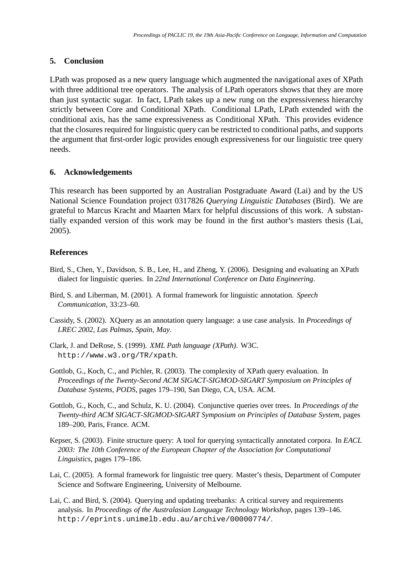# **5. Conclusion**

LPath was proposed as a new query language which augmented the navigational axes of XPath with three additional tree operators. The analysis of LPath operators shows that they are more than just syntactic sugar. In fact, LPath takes up a new rung on the expressiveness hierarchy strictly between Core and Conditional XPath. Conditional LPath, LPath extended with the conditional axis, has the same expressiveness as Conditional XPath. This provides evidence that the closures required for linguistic query can be restricted to conditional paths, and supports the argument that first-order logic provides enough expressiveness for our linguistic tree query needs.

## **6. Acknowledgements**

This research has been supported by an Australian Postgraduate Award (Lai) and by the US National Science Foundation project 0317826 *Querying Linguistic Databases* (Bird). We are grateful to Marcus Kracht and Maarten Marx for helpful discussions of this work. A substantially expanded version of this work may be found in the first author's masters thesis (Lai, 2005).

## **References**

- Bird, S., Chen, Y., Davidson, S. B., Lee, H., and Zheng, Y. (2006). Designing and evaluating an XPath dialect for linguistic queries. In *22nd International Conference on Data Engineering*.
- Bird, S. and Liberman, M. (2001). A formal framework for linguistic annotation. *Speech Communication*, 33:23–60.
- Cassidy, S. (2002). XQuery as an annotation query language: a use case analysis. In *Proceedings of LREC 2002, Las Palmas, Spain, May*.
- Clark, J. and DeRose, S. (1999). *XML Path language (XPath)*. W3C. http://www.w3.org/TR/xpath.
- Gottlob, G., Koch, C., and Pichler, R. (2003). The complexity of XPath query evaluation. In *Proceedings of the Twenty-Second ACM SIGACT-SIGMOD-SIGART Symposium on Principles of Database Systems, PODS*, pages 179–190, San Diego, CA, USA. ACM.
- Gottlob, G., Koch, C., and Schulz, K. U. (2004). Conjunctive queries over trees. In *Proceedings of the Twenty-third ACM SIGACT-SIGMOD-SIGART Symposium on Principles of Database System*, pages 189–200, Paris, France. ACM.
- Kepser, S. (2003). Finite structure query: A tool for querying syntactically annotated corpora. In *EACL 2003: The 10th Conference of the European Chapter of the Association for Computational Linguistics*, pages 179–186.
- Lai, C. (2005). A formal framework for linguistic tree query. Master's thesis, Department of Computer Science and Software Engineering, University of Melbourne.
- Lai, C. and Bird, S. (2004). Querying and updating treebanks: A critical survey and requirements analysis. In *Proceedings of the Australasian Language Technology Workshop*, pages 139–146. http://eprints.unimelb.edu.au/archive/00000774/.